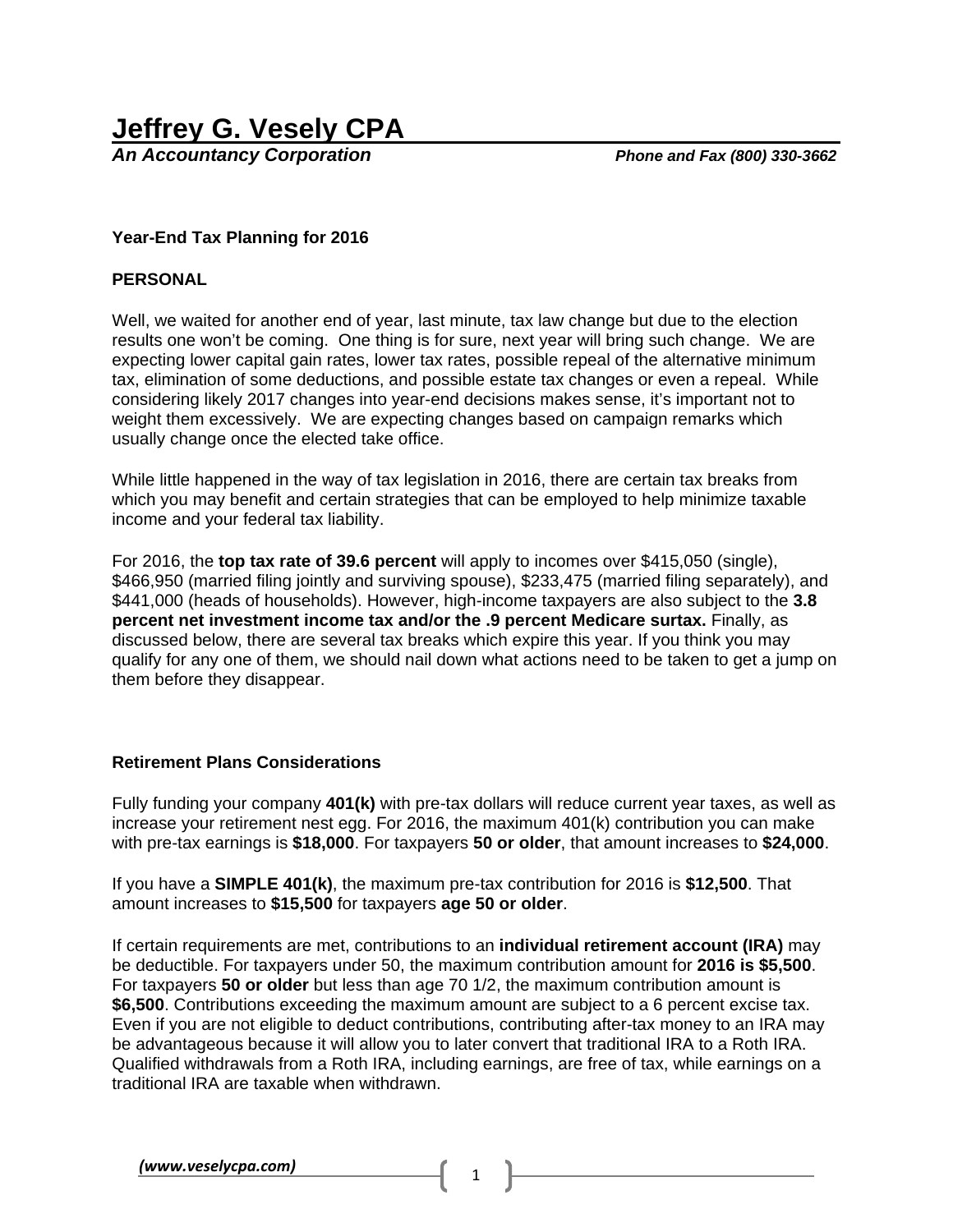*An Accountancy Corporation Phone and Fax (800) 330-3662*

## **Year-End Tax Planning for 2016**

#### **PERSONAL**

Well, we waited for another end of year, last minute, tax law change but due to the election results one won't be coming. One thing is for sure, next year will bring such change. We are expecting lower capital gain rates, lower tax rates, possible repeal of the alternative minimum tax, elimination of some deductions, and possible estate tax changes or even a repeal. While considering likely 2017 changes into year-end decisions makes sense, it's important not to weight them excessively. We are expecting changes based on campaign remarks which usually change once the elected take office.

While little happened in the way of tax legislation in 2016, there are certain tax breaks from which you may benefit and certain strategies that can be employed to help minimize taxable income and your federal tax liability.

For 2016, the **top tax rate of 39.6 percent** will apply to incomes over \$415,050 (single), \$466,950 (married filing jointly and surviving spouse), \$233,475 (married filing separately), and \$441,000 (heads of households). However, high-income taxpayers are also subject to the **3.8 percent net investment income tax and/or the .9 percent Medicare surtax.** Finally, as discussed below, there are several tax breaks which expire this year. If you think you may qualify for any one of them, we should nail down what actions need to be taken to get a jump on them before they disappear.

# **Retirement Plans Considerations**

Fully funding your company **401(k)** with pre-tax dollars will reduce current year taxes, as well as increase your retirement nest egg. For 2016, the maximum 401(k) contribution you can make with pre-tax earnings is **\$18,000**. For taxpayers **50 or older**, that amount increases to **\$24,000**.

If you have a **SIMPLE 401(k)**, the maximum pre-tax contribution for 2016 is **\$12,500**. That amount increases to **\$15,500** for taxpayers **age 50 or older**.

If certain requirements are met, contributions to an **individual retirement account (IRA)** may be deductible. For taxpayers under 50, the maximum contribution amount for **2016 is \$5,500**. For taxpayers **50 or older** but less than age 70 1/2, the maximum contribution amount is **\$6,500**. Contributions exceeding the maximum amount are subject to a 6 percent excise tax. Even if you are not eligible to deduct contributions, contributing after-tax money to an IRA may be advantageous because it will allow you to later convert that traditional IRA to a Roth IRA. Qualified withdrawals from a Roth IRA, including earnings, are free of tax, while earnings on a traditional IRA are taxable when withdrawn.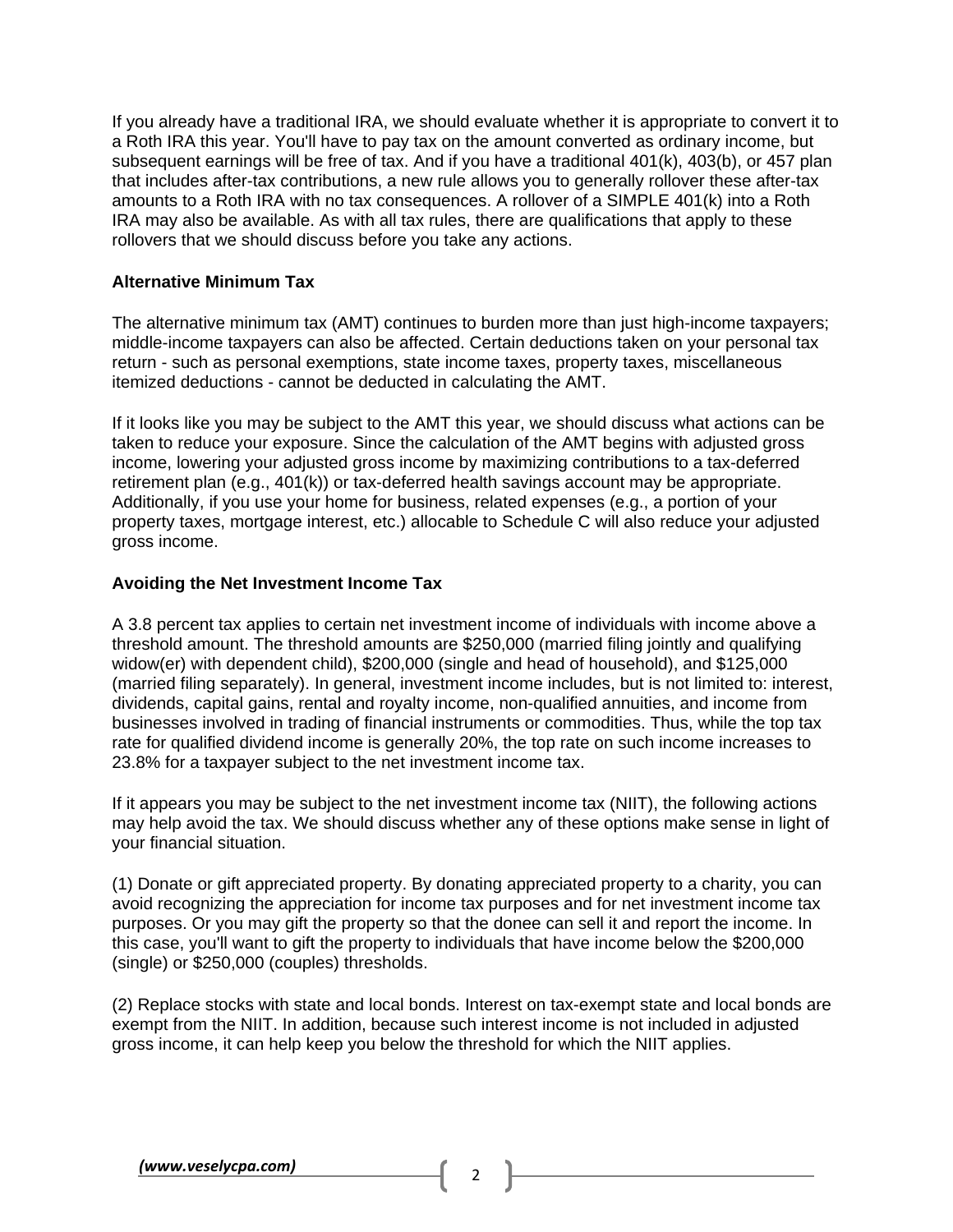If you already have a traditional IRA, we should evaluate whether it is appropriate to convert it to a Roth IRA this year. You'll have to pay tax on the amount converted as ordinary income, but subsequent earnings will be free of tax. And if you have a traditional 401(k), 403(b), or 457 plan that includes after-tax contributions, a new rule allows you to generally rollover these after-tax amounts to a Roth IRA with no tax consequences. A rollover of a SIMPLE 401(k) into a Roth IRA may also be available. As with all tax rules, there are qualifications that apply to these rollovers that we should discuss before you take any actions.

## **Alternative Minimum Tax**

The alternative minimum tax (AMT) continues to burden more than just high-income taxpayers; middle-income taxpayers can also be affected. Certain deductions taken on your personal tax return - such as personal exemptions, state income taxes, property taxes, miscellaneous itemized deductions - cannot be deducted in calculating the AMT.

If it looks like you may be subject to the AMT this year, we should discuss what actions can be taken to reduce your exposure. Since the calculation of the AMT begins with adjusted gross income, lowering your adjusted gross income by maximizing contributions to a tax-deferred retirement plan (e.g., 401(k)) or tax-deferred health savings account may be appropriate. Additionally, if you use your home for business, related expenses (e.g., a portion of your property taxes, mortgage interest, etc.) allocable to Schedule C will also reduce your adjusted gross income.

## **Avoiding the Net Investment Income Tax**

A 3.8 percent tax applies to certain net investment income of individuals with income above a threshold amount. The threshold amounts are \$250,000 (married filing jointly and qualifying widow(er) with dependent child), \$200,000 (single and head of household), and \$125,000 (married filing separately). In general, investment income includes, but is not limited to: interest, dividends, capital gains, rental and royalty income, non-qualified annuities, and income from businesses involved in trading of financial instruments or commodities. Thus, while the top tax rate for qualified dividend income is generally 20%, the top rate on such income increases to 23.8% for a taxpayer subject to the net investment income tax.

If it appears you may be subject to the net investment income tax (NIIT), the following actions may help avoid the tax. We should discuss whether any of these options make sense in light of your financial situation.

(1) Donate or gift appreciated property. By donating appreciated property to a charity, you can avoid recognizing the appreciation for income tax purposes and for net investment income tax purposes. Or you may gift the property so that the donee can sell it and report the income. In this case, you'll want to gift the property to individuals that have income below the \$200,000 (single) or \$250,000 (couples) thresholds.

(2) Replace stocks with state and local bonds. Interest on tax-exempt state and local bonds are exempt from the NIIT. In addition, because such interest income is not included in adjusted gross income, it can help keep you below the threshold for which the NIIT applies.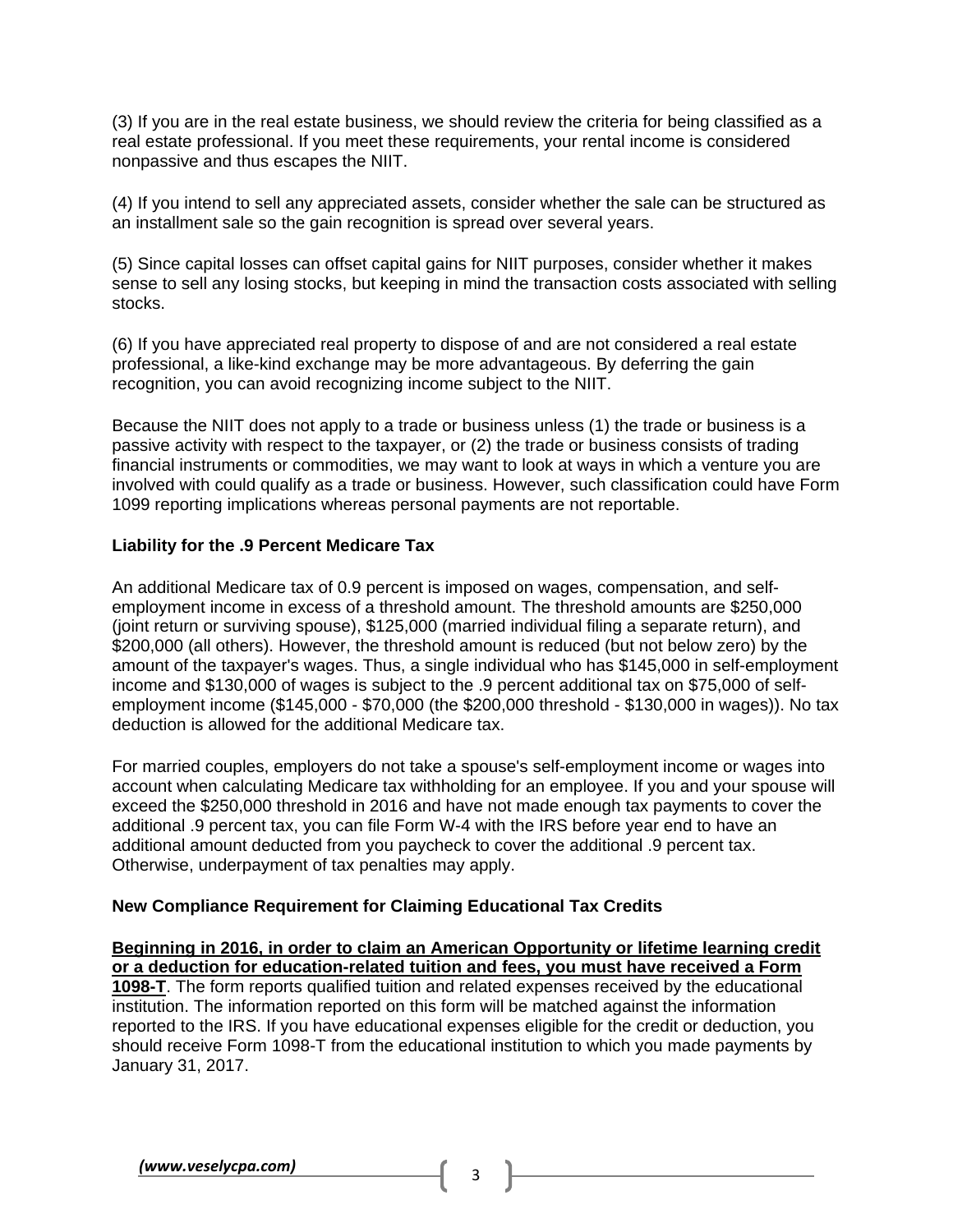(3) If you are in the real estate business, we should review the criteria for being classified as a real estate professional. If you meet these requirements, your rental income is considered nonpassive and thus escapes the NIIT.

(4) If you intend to sell any appreciated assets, consider whether the sale can be structured as an installment sale so the gain recognition is spread over several years.

(5) Since capital losses can offset capital gains for NIIT purposes, consider whether it makes sense to sell any losing stocks, but keeping in mind the transaction costs associated with selling stocks.

(6) If you have appreciated real property to dispose of and are not considered a real estate professional, a like-kind exchange may be more advantageous. By deferring the gain recognition, you can avoid recognizing income subject to the NIIT.

Because the NIIT does not apply to a trade or business unless (1) the trade or business is a passive activity with respect to the taxpayer, or (2) the trade or business consists of trading financial instruments or commodities, we may want to look at ways in which a venture you are involved with could qualify as a trade or business. However, such classification could have Form 1099 reporting implications whereas personal payments are not reportable.

## **Liability for the .9 Percent Medicare Tax**

An additional Medicare tax of 0.9 percent is imposed on wages, compensation, and selfemployment income in excess of a threshold amount. The threshold amounts are \$250,000 (joint return or surviving spouse), \$125,000 (married individual filing a separate return), and \$200,000 (all others). However, the threshold amount is reduced (but not below zero) by the amount of the taxpayer's wages. Thus, a single individual who has \$145,000 in self-employment income and \$130,000 of wages is subject to the .9 percent additional tax on \$75,000 of selfemployment income (\$145,000 - \$70,000 (the \$200,000 threshold - \$130,000 in wages)). No tax deduction is allowed for the additional Medicare tax.

For married couples, employers do not take a spouse's self-employment income or wages into account when calculating Medicare tax withholding for an employee. If you and your spouse will exceed the \$250,000 threshold in 2016 and have not made enough tax payments to cover the additional .9 percent tax, you can file Form W-4 with the IRS before year end to have an additional amount deducted from you paycheck to cover the additional .9 percent tax. Otherwise, underpayment of tax penalties may apply.

# **New Compliance Requirement for Claiming Educational Tax Credits**

**Beginning in 2016, in order to claim an American Opportunity or lifetime learning credit or a deduction for education-related tuition and fees, you must have received a Form 1098-T**. The form reports qualified tuition and related expenses received by the educational institution. The information reported on this form will be matched against the information reported to the IRS. If you have educational expenses eligible for the credit or deduction, you should receive Form 1098-T from the educational institution to which you made payments by January 31, 2017.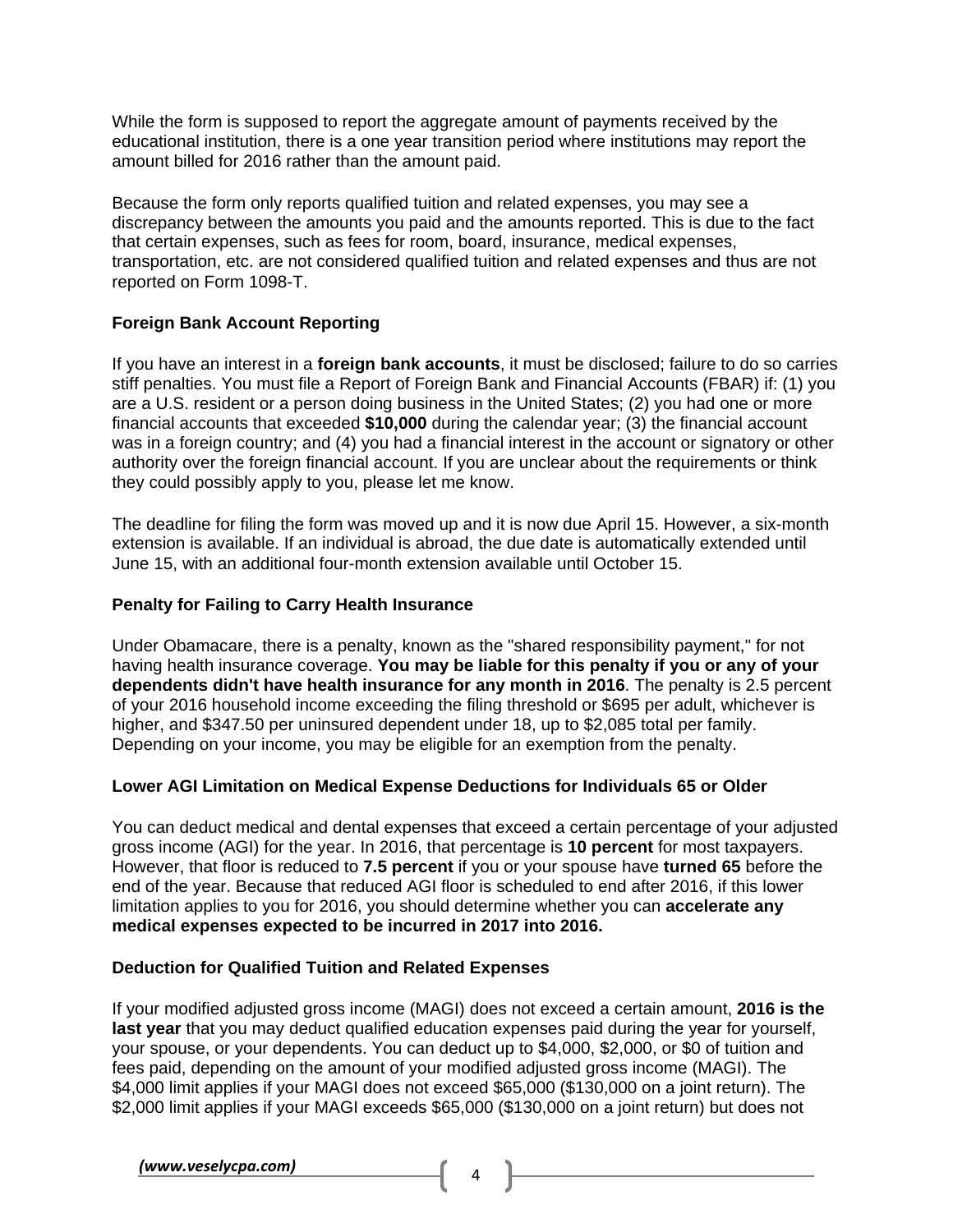While the form is supposed to report the aggregate amount of payments received by the educational institution, there is a one year transition period where institutions may report the amount billed for 2016 rather than the amount paid.

Because the form only reports qualified tuition and related expenses, you may see a discrepancy between the amounts you paid and the amounts reported. This is due to the fact that certain expenses, such as fees for room, board, insurance, medical expenses, transportation, etc. are not considered qualified tuition and related expenses and thus are not reported on Form 1098-T.

# **Foreign Bank Account Reporting**

If you have an interest in a **foreign bank accounts**, it must be disclosed; failure to do so carries stiff penalties. You must file a Report of Foreign Bank and Financial Accounts (FBAR) if: (1) you are a U.S. resident or a person doing business in the United States; (2) you had one or more financial accounts that exceeded **\$10,000** during the calendar year; (3) the financial account was in a foreign country; and (4) you had a financial interest in the account or signatory or other authority over the foreign financial account. If you are unclear about the requirements or think they could possibly apply to you, please let me know.

The deadline for filing the form was moved up and it is now due April 15. However, a six-month extension is available. If an individual is abroad, the due date is automatically extended until June 15, with an additional four-month extension available until October 15.

# **Penalty for Failing to Carry Health Insurance**

Under Obamacare, there is a penalty, known as the "shared responsibility payment," for not having health insurance coverage. **You may be liable for this penalty if you or any of your dependents didn't have health insurance for any month in 2016**. The penalty is 2.5 percent of your 2016 household income exceeding the filing threshold or \$695 per adult, whichever is higher, and \$347.50 per uninsured dependent under 18, up to \$2,085 total per family. Depending on your income, you may be eligible for an exemption from the penalty.

# **Lower AGI Limitation on Medical Expense Deductions for Individuals 65 or Older**

You can deduct medical and dental expenses that exceed a certain percentage of your adjusted gross income (AGI) for the year. In 2016, that percentage is **10 percent** for most taxpayers. However, that floor is reduced to **7.5 percent** if you or your spouse have **turned 65** before the end of the year. Because that reduced AGI floor is scheduled to end after 2016, if this lower limitation applies to you for 2016, you should determine whether you can **accelerate any medical expenses expected to be incurred in 2017 into 2016.**

# **Deduction for Qualified Tuition and Related Expenses**

If your modified adjusted gross income (MAGI) does not exceed a certain amount, **2016 is the last year** that you may deduct qualified education expenses paid during the year for yourself, your spouse, or your dependents. You can deduct up to \$4,000, \$2,000, or \$0 of tuition and fees paid, depending on the amount of your modified adjusted gross income (MAGI). The \$4,000 limit applies if your MAGI does not exceed \$65,000 (\$130,000 on a joint return). The \$2,000 limit applies if your MAGI exceeds \$65,000 (\$130,000 on a joint return) but does not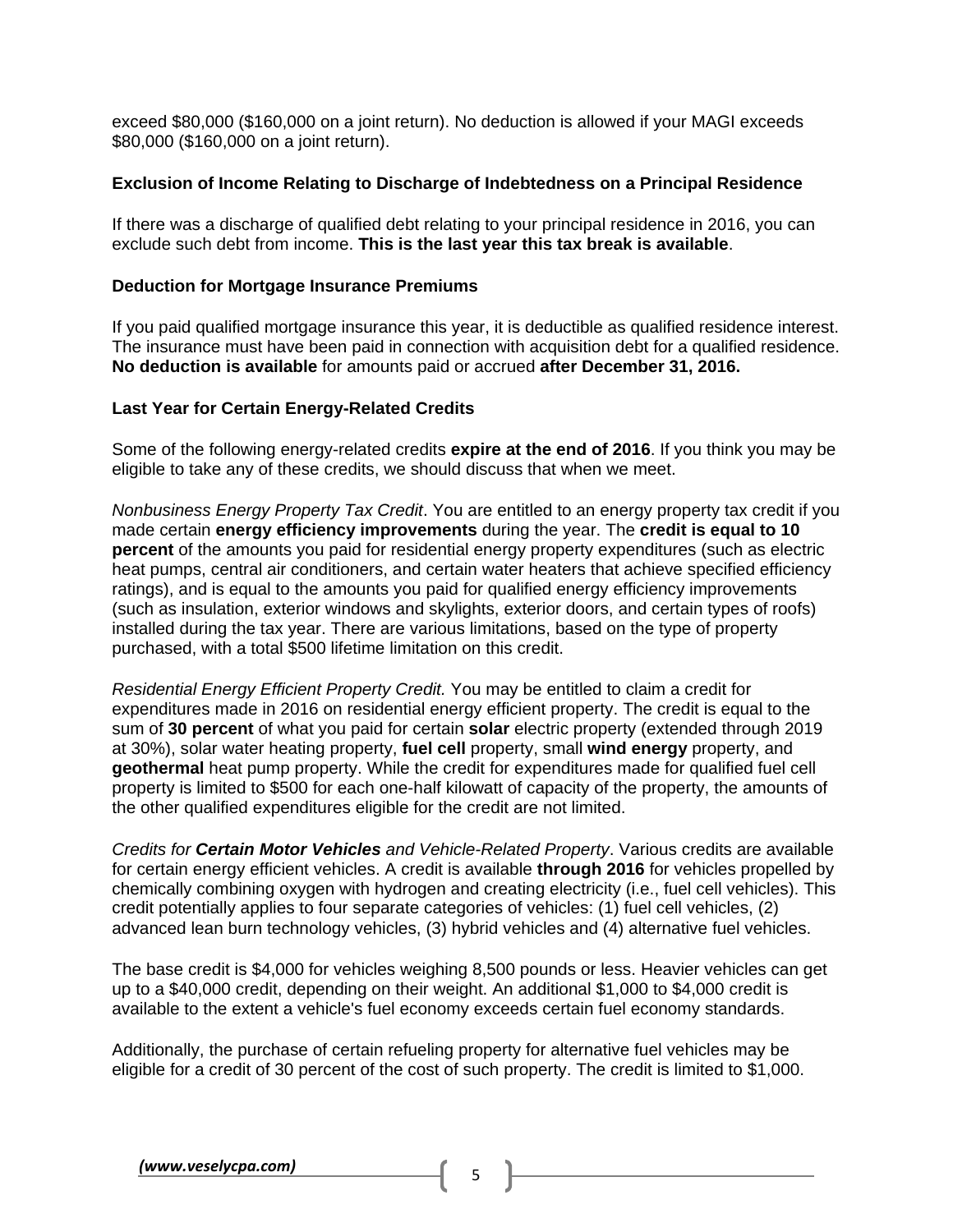exceed \$80,000 (\$160,000 on a joint return). No deduction is allowed if your MAGI exceeds \$80,000 (\$160,000 on a joint return).

## **Exclusion of Income Relating to Discharge of Indebtedness on a Principal Residence**

If there was a discharge of qualified debt relating to your principal residence in 2016, you can exclude such debt from income. **This is the last year this tax break is available**.

#### **Deduction for Mortgage Insurance Premiums**

If you paid qualified mortgage insurance this year, it is deductible as qualified residence interest. The insurance must have been paid in connection with acquisition debt for a qualified residence. **No deduction is available** for amounts paid or accrued **after December 31, 2016.** 

## **Last Year for Certain Energy-Related Credits**

Some of the following energy-related credits **expire at the end of 2016**. If you think you may be eligible to take any of these credits, we should discuss that when we meet.

*Nonbusiness Energy Property Tax Credit*. You are entitled to an energy property tax credit if you made certain **energy efficiency improvements** during the year. The **credit is equal to 10 percent** of the amounts you paid for residential energy property expenditures (such as electric heat pumps, central air conditioners, and certain water heaters that achieve specified efficiency ratings), and is equal to the amounts you paid for qualified energy efficiency improvements (such as insulation, exterior windows and skylights, exterior doors, and certain types of roofs) installed during the tax year. There are various limitations, based on the type of property purchased, with a total \$500 lifetime limitation on this credit.

*Residential Energy Efficient Property Credit.* You may be entitled to claim a credit for expenditures made in 2016 on residential energy efficient property. The credit is equal to the sum of **30 percent** of what you paid for certain **solar** electric property (extended through 2019 at 30%), solar water heating property, **fuel cell** property, small **wind energy** property, and **geothermal** heat pump property. While the credit for expenditures made for qualified fuel cell property is limited to \$500 for each one-half kilowatt of capacity of the property, the amounts of the other qualified expenditures eligible for the credit are not limited.

*Credits for Certain Motor Vehicles and Vehicle-Related Property*. Various credits are available for certain energy efficient vehicles. A credit is available **through 2016** for vehicles propelled by chemically combining oxygen with hydrogen and creating electricity (i.e., fuel cell vehicles). This credit potentially applies to four separate categories of vehicles: (1) fuel cell vehicles, (2) advanced lean burn technology vehicles, (3) hybrid vehicles and (4) alternative fuel vehicles.

The base credit is \$4,000 for vehicles weighing 8,500 pounds or less. Heavier vehicles can get up to a \$40,000 credit, depending on their weight. An additional \$1,000 to \$4,000 credit is available to the extent a vehicle's fuel economy exceeds certain fuel economy standards.

Additionally, the purchase of certain refueling property for alternative fuel vehicles may be eligible for a credit of 30 percent of the cost of such property. The credit is limited to \$1,000.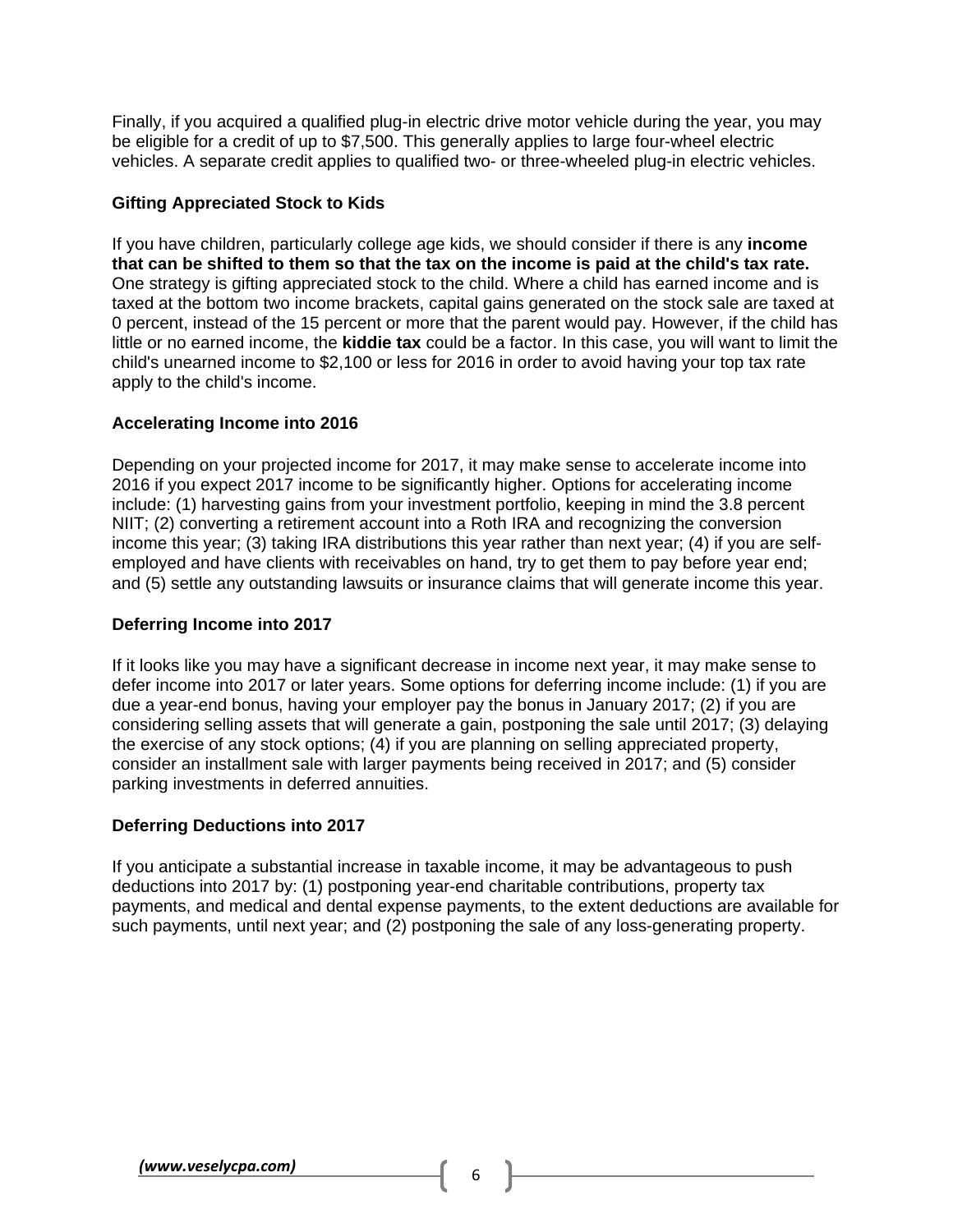Finally, if you acquired a qualified plug-in electric drive motor vehicle during the year, you may be eligible for a credit of up to \$7,500. This generally applies to large four-wheel electric vehicles. A separate credit applies to qualified two- or three-wheeled plug-in electric vehicles.

# **Gifting Appreciated Stock to Kids**

If you have children, particularly college age kids, we should consider if there is any **income that can be shifted to them so that the tax on the income is paid at the child's tax rate.** One strategy is gifting appreciated stock to the child. Where a child has earned income and is taxed at the bottom two income brackets, capital gains generated on the stock sale are taxed at 0 percent, instead of the 15 percent or more that the parent would pay. However, if the child has little or no earned income, the **kiddie tax** could be a factor. In this case, you will want to limit the child's unearned income to \$2,100 or less for 2016 in order to avoid having your top tax rate apply to the child's income.

## **Accelerating Income into 2016**

Depending on your projected income for 2017, it may make sense to accelerate income into 2016 if you expect 2017 income to be significantly higher. Options for accelerating income include: (1) harvesting gains from your investment portfolio, keeping in mind the 3.8 percent NIIT; (2) converting a retirement account into a Roth IRA and recognizing the conversion income this year; (3) taking IRA distributions this year rather than next year; (4) if you are selfemployed and have clients with receivables on hand, try to get them to pay before year end; and (5) settle any outstanding lawsuits or insurance claims that will generate income this year.

#### **Deferring Income into 2017**

If it looks like you may have a significant decrease in income next year, it may make sense to defer income into 2017 or later years. Some options for deferring income include: (1) if you are due a year-end bonus, having your employer pay the bonus in January 2017; (2) if you are considering selling assets that will generate a gain, postponing the sale until 2017; (3) delaying the exercise of any stock options; (4) if you are planning on selling appreciated property, consider an installment sale with larger payments being received in 2017; and (5) consider parking investments in deferred annuities.

# **Deferring Deductions into 2017**

If you anticipate a substantial increase in taxable income, it may be advantageous to push deductions into 2017 by: (1) postponing year-end charitable contributions, property tax payments, and medical and dental expense payments, to the extent deductions are available for such payments, until next year; and (2) postponing the sale of any loss-generating property.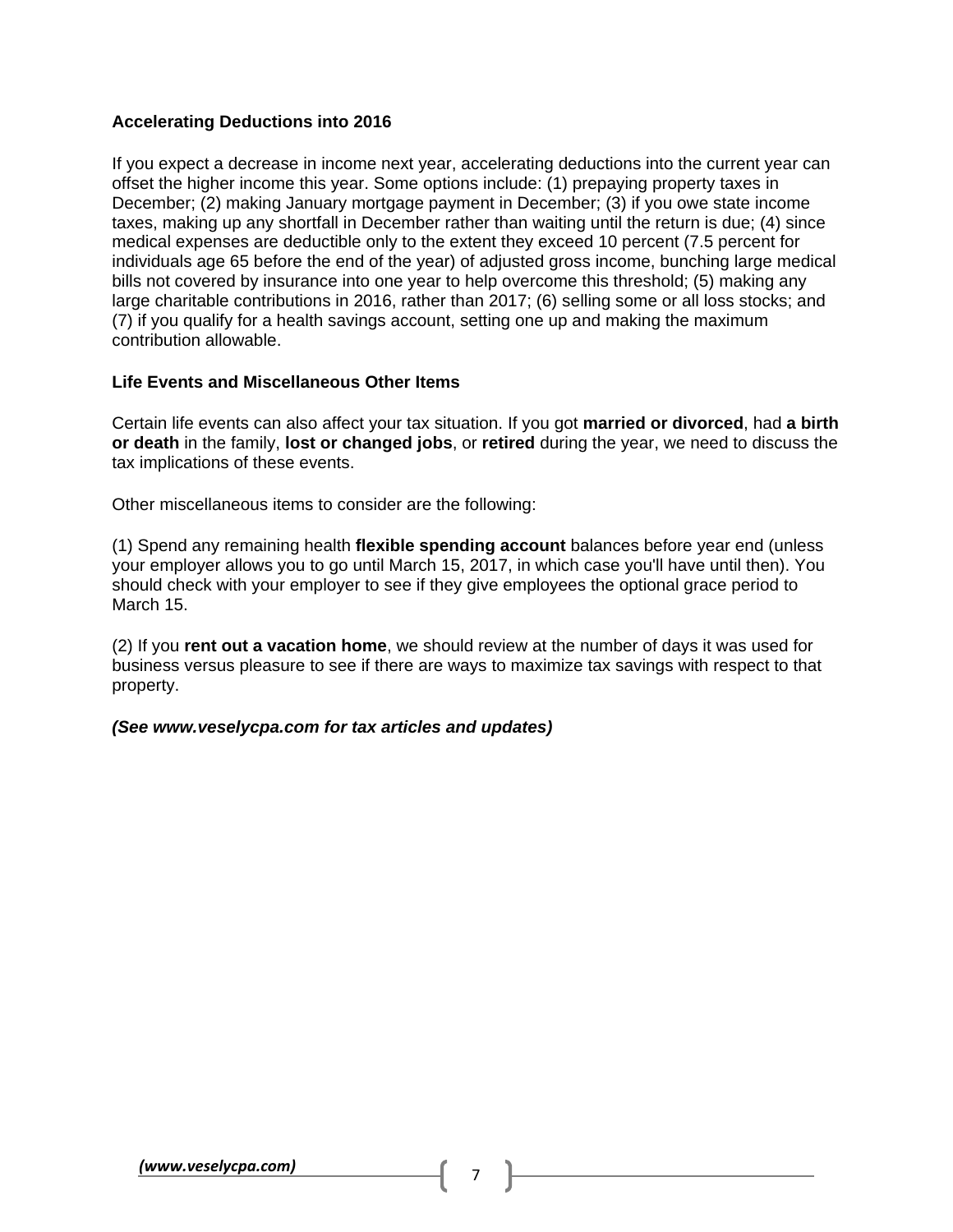# **Accelerating Deductions into 2016**

If you expect a decrease in income next year, accelerating deductions into the current year can offset the higher income this year. Some options include: (1) prepaying property taxes in December; (2) making January mortgage payment in December; (3) if you owe state income taxes, making up any shortfall in December rather than waiting until the return is due; (4) since medical expenses are deductible only to the extent they exceed 10 percent (7.5 percent for individuals age 65 before the end of the year) of adjusted gross income, bunching large medical bills not covered by insurance into one year to help overcome this threshold; (5) making any large charitable contributions in 2016, rather than 2017; (6) selling some or all loss stocks; and (7) if you qualify for a health savings account, setting one up and making the maximum contribution allowable.

## **Life Events and Miscellaneous Other Items**

Certain life events can also affect your tax situation. If you got **married or divorced**, had **a birth or death** in the family, **lost or changed jobs**, or **retired** during the year, we need to discuss the tax implications of these events.

Other miscellaneous items to consider are the following:

(1) Spend any remaining health **flexible spending account** balances before year end (unless your employer allows you to go until March 15, 2017, in which case you'll have until then). You should check with your employer to see if they give employees the optional grace period to March 15.

(2) If you **rent out a vacation home**, we should review at the number of days it was used for business versus pleasure to see if there are ways to maximize tax savings with respect to that property.

#### *(See www.veselycpa.com for tax articles and updates)*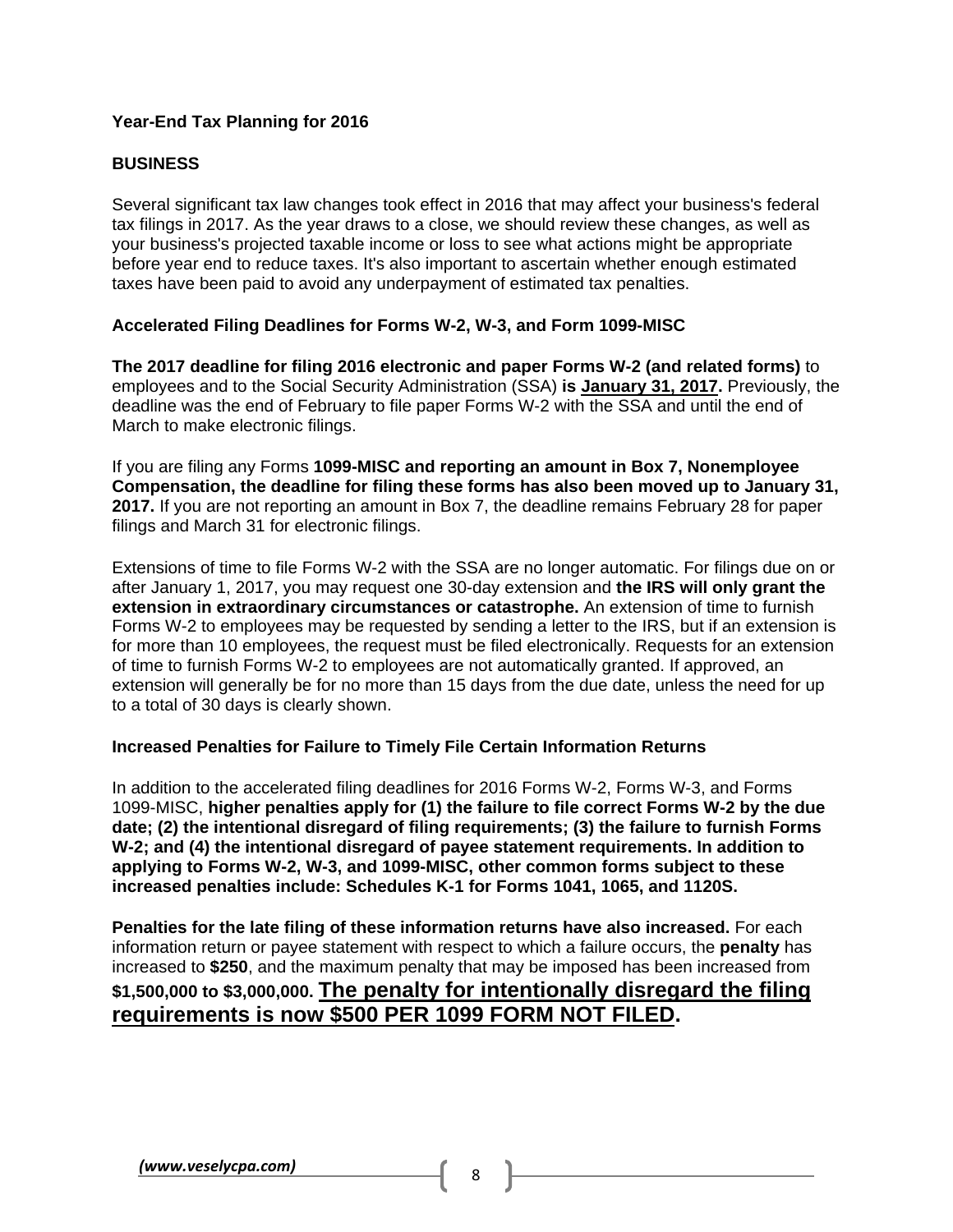# **Year-End Tax Planning for 2016**

# **BUSINESS**

Several significant tax law changes took effect in 2016 that may affect your business's federal tax filings in 2017. As the year draws to a close, we should review these changes, as well as your business's projected taxable income or loss to see what actions might be appropriate before year end to reduce taxes. It's also important to ascertain whether enough estimated taxes have been paid to avoid any underpayment of estimated tax penalties.

# **Accelerated Filing Deadlines for Forms W-2, W-3, and Form 1099-MISC**

**The 2017 deadline for filing 2016 electronic and paper Forms W-2 (and related forms)** to employees and to the Social Security Administration (SSA) **is January 31, 2017.** Previously, the deadline was the end of February to file paper Forms W-2 with the SSA and until the end of March to make electronic filings.

If you are filing any Forms **1099-MISC and reporting an amount in Box 7, Nonemployee Compensation, the deadline for filing these forms has also been moved up to January 31, 2017.** If you are not reporting an amount in Box 7, the deadline remains February 28 for paper filings and March 31 for electronic filings.

Extensions of time to file Forms W-2 with the SSA are no longer automatic. For filings due on or after January 1, 2017, you may request one 30-day extension and **the IRS will only grant the extension in extraordinary circumstances or catastrophe.** An extension of time to furnish Forms W-2 to employees may be requested by sending a letter to the IRS, but if an extension is for more than 10 employees, the request must be filed electronically. Requests for an extension of time to furnish Forms W-2 to employees are not automatically granted. If approved, an extension will generally be for no more than 15 days from the due date, unless the need for up to a total of 30 days is clearly shown.

# **Increased Penalties for Failure to Timely File Certain Information Returns**

In addition to the accelerated filing deadlines for 2016 Forms W-2, Forms W-3, and Forms 1099-MISC, **higher penalties apply for (1) the failure to file correct Forms W-2 by the due date; (2) the intentional disregard of filing requirements; (3) the failure to furnish Forms W-2; and (4) the intentional disregard of payee statement requirements. In addition to applying to Forms W-2, W-3, and 1099-MISC, other common forms subject to these increased penalties include: Schedules K-1 for Forms 1041, 1065, and 1120S.**

**Penalties for the late filing of these information returns have also increased.** For each information return or payee statement with respect to which a failure occurs, the **penalty** has increased to **\$250**, and the maximum penalty that may be imposed has been increased from **\$1,500,000 to \$3,000,000. The penalty for intentionally disregard the filing requirements is now \$500 PER 1099 FORM NOT FILED.**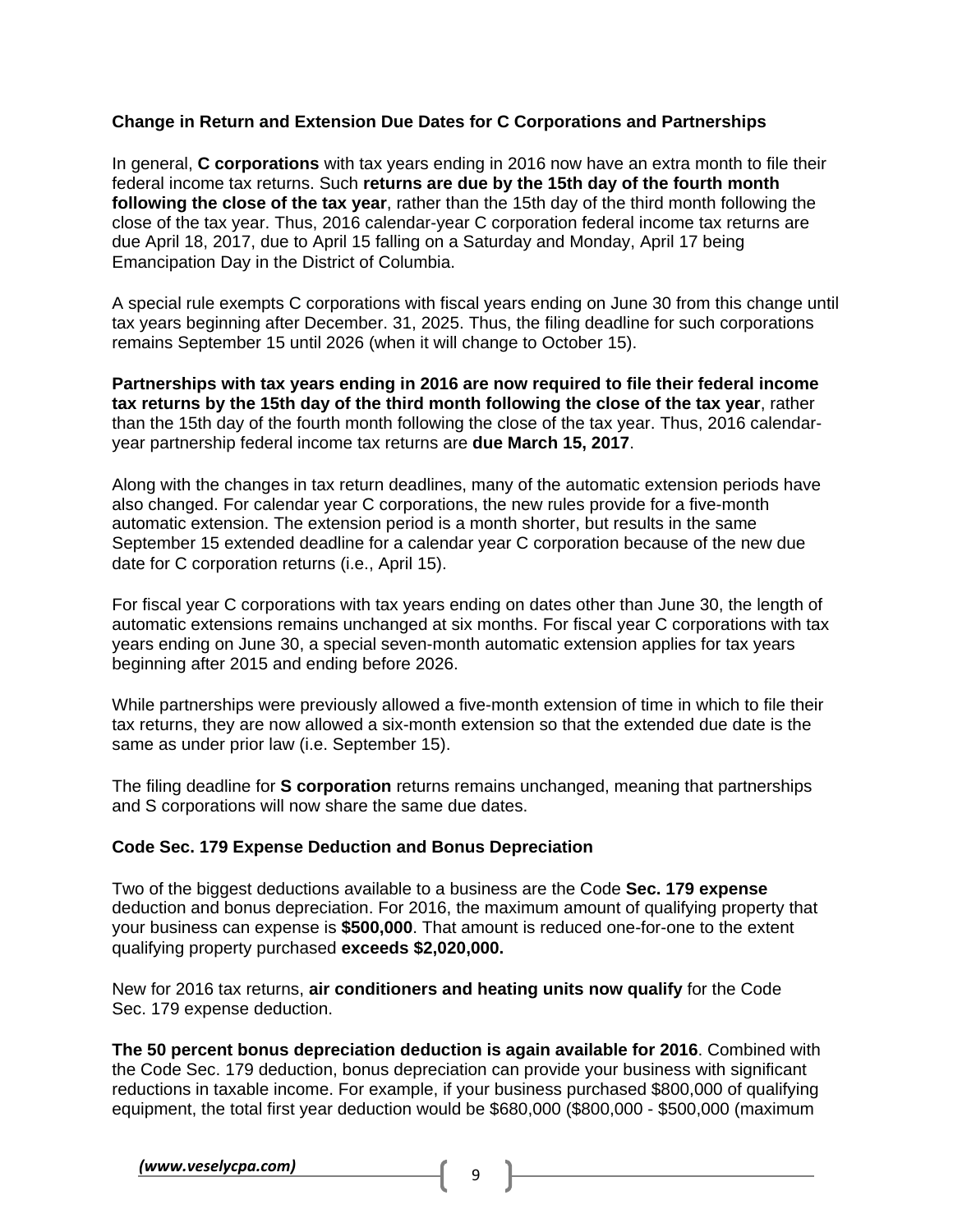## **Change in Return and Extension Due Dates for C Corporations and Partnerships**

In general, **C corporations** with tax years ending in 2016 now have an extra month to file their federal income tax returns. Such **returns are due by the 15th day of the fourth month following the close of the tax year**, rather than the 15th day of the third month following the close of the tax year. Thus, 2016 calendar-year C corporation federal income tax returns are due April 18, 2017, due to April 15 falling on a Saturday and Monday, April 17 being Emancipation Day in the District of Columbia.

A special rule exempts C corporations with fiscal years ending on June 30 from this change until tax years beginning after December. 31, 2025. Thus, the filing deadline for such corporations remains September 15 until 2026 (when it will change to October 15).

**Partnerships with tax years ending in 2016 are now required to file their federal income tax returns by the 15th day of the third month following the close of the tax year**, rather than the 15th day of the fourth month following the close of the tax year. Thus, 2016 calendaryear partnership federal income tax returns are **due March 15, 2017**.

Along with the changes in tax return deadlines, many of the automatic extension periods have also changed. For calendar year C corporations, the new rules provide for a five-month automatic extension. The extension period is a month shorter, but results in the same September 15 extended deadline for a calendar year C corporation because of the new due date for C corporation returns (i.e., April 15).

For fiscal year C corporations with tax years ending on dates other than June 30, the length of automatic extensions remains unchanged at six months. For fiscal year C corporations with tax years ending on June 30, a special seven-month automatic extension applies for tax years beginning after 2015 and ending before 2026.

While partnerships were previously allowed a five-month extension of time in which to file their tax returns, they are now allowed a six-month extension so that the extended due date is the same as under prior law (i.e. September 15).

The filing deadline for **S corporation** returns remains unchanged, meaning that partnerships and S corporations will now share the same due dates.

#### **Code Sec. 179 Expense Deduction and Bonus Depreciation**

Two of the biggest deductions available to a business are the Code **Sec. 179 expense** deduction and bonus depreciation. For 2016, the maximum amount of qualifying property that your business can expense is **\$500,000**. That amount is reduced one-for-one to the extent qualifying property purchased **exceeds \$2,020,000.**

New for 2016 tax returns, **air conditioners and heating units now qualify** for the Code Sec. 179 expense deduction.

**The 50 percent bonus depreciation deduction is again available for 2016**. Combined with the Code Sec. 179 deduction, bonus depreciation can provide your business with significant reductions in taxable income. For example, if your business purchased \$800,000 of qualifying equipment, the total first year deduction would be \$680,000 (\$800,000 - \$500,000 (maximum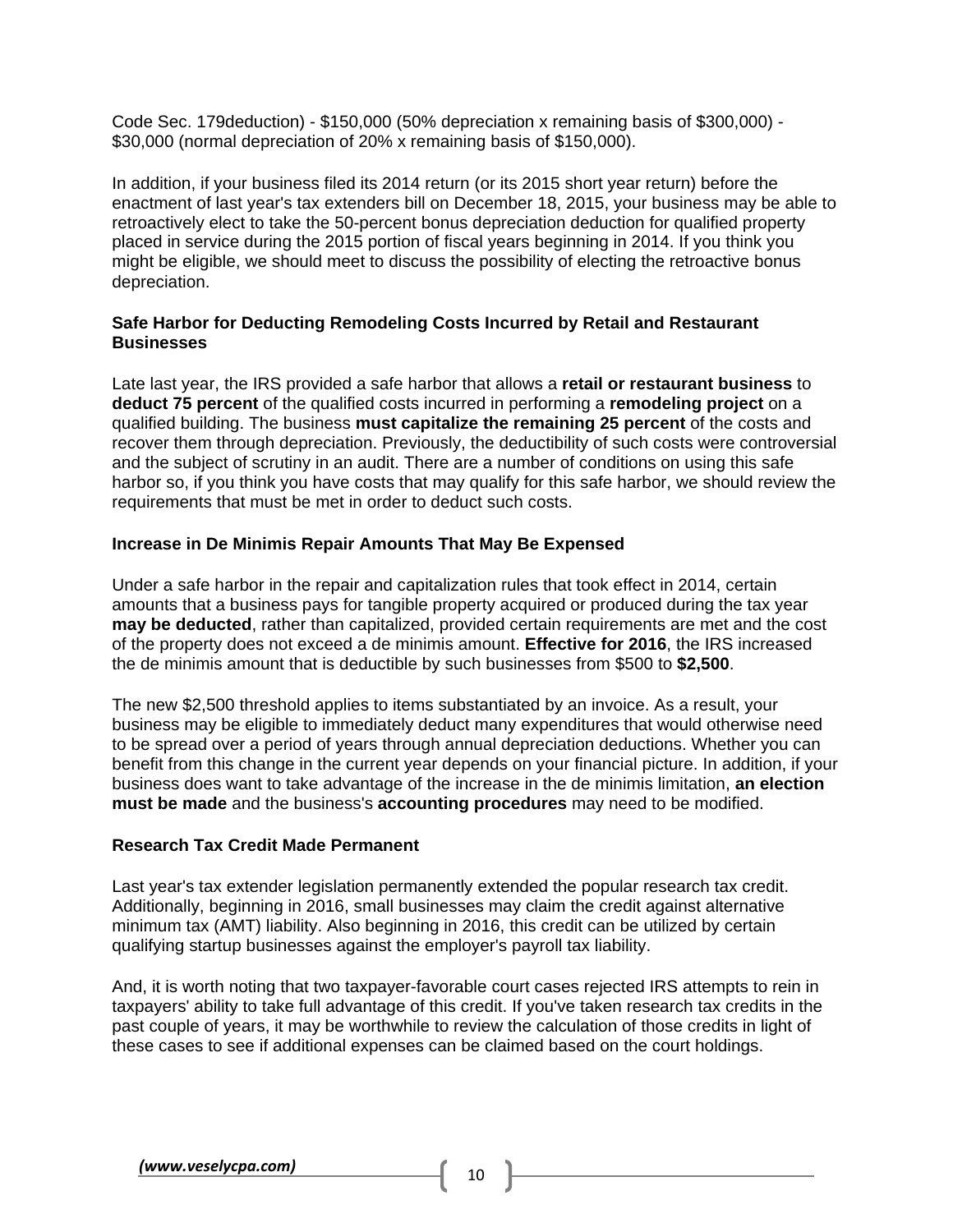Code Sec. 179deduction) - \$150,000 (50% depreciation x remaining basis of \$300,000) - \$30,000 (normal depreciation of 20% x remaining basis of \$150,000).

In addition, if your business filed its 2014 return (or its 2015 short year return) before the enactment of last year's tax extenders bill on December 18, 2015, your business may be able to retroactively elect to take the 50-percent bonus depreciation deduction for qualified property placed in service during the 2015 portion of fiscal years beginning in 2014. If you think you might be eligible, we should meet to discuss the possibility of electing the retroactive bonus depreciation.

## **Safe Harbor for Deducting Remodeling Costs Incurred by Retail and Restaurant Businesses**

Late last year, the IRS provided a safe harbor that allows a **retail or restaurant business** to **deduct 75 percent** of the qualified costs incurred in performing a **remodeling project** on a qualified building. The business **must capitalize the remaining 25 percent** of the costs and recover them through depreciation. Previously, the deductibility of such costs were controversial and the subject of scrutiny in an audit. There are a number of conditions on using this safe harbor so, if you think you have costs that may qualify for this safe harbor, we should review the requirements that must be met in order to deduct such costs.

## **Increase in De Minimis Repair Amounts That May Be Expensed**

Under a safe harbor in the repair and capitalization rules that took effect in 2014, certain amounts that a business pays for tangible property acquired or produced during the tax year **may be deducted**, rather than capitalized, provided certain requirements are met and the cost of the property does not exceed a de minimis amount. **Effective for 2016**, the IRS increased the de minimis amount that is deductible by such businesses from \$500 to **\$2,500**.

The new \$2,500 threshold applies to items substantiated by an invoice. As a result, your business may be eligible to immediately deduct many expenditures that would otherwise need to be spread over a period of years through annual depreciation deductions. Whether you can benefit from this change in the current year depends on your financial picture. In addition, if your business does want to take advantage of the increase in the de minimis limitation, **an election must be made** and the business's **accounting procedures** may need to be modified.

#### **Research Tax Credit Made Permanent**

Last year's tax extender legislation permanently extended the popular research tax credit. Additionally, beginning in 2016, small businesses may claim the credit against alternative minimum tax (AMT) liability. Also beginning in 2016, this credit can be utilized by certain qualifying startup businesses against the employer's payroll tax liability.

And, it is worth noting that two taxpayer-favorable court cases rejected IRS attempts to rein in taxpayers' ability to take full advantage of this credit. If you've taken research tax credits in the past couple of years, it may be worthwhile to review the calculation of those credits in light of these cases to see if additional expenses can be claimed based on the court holdings.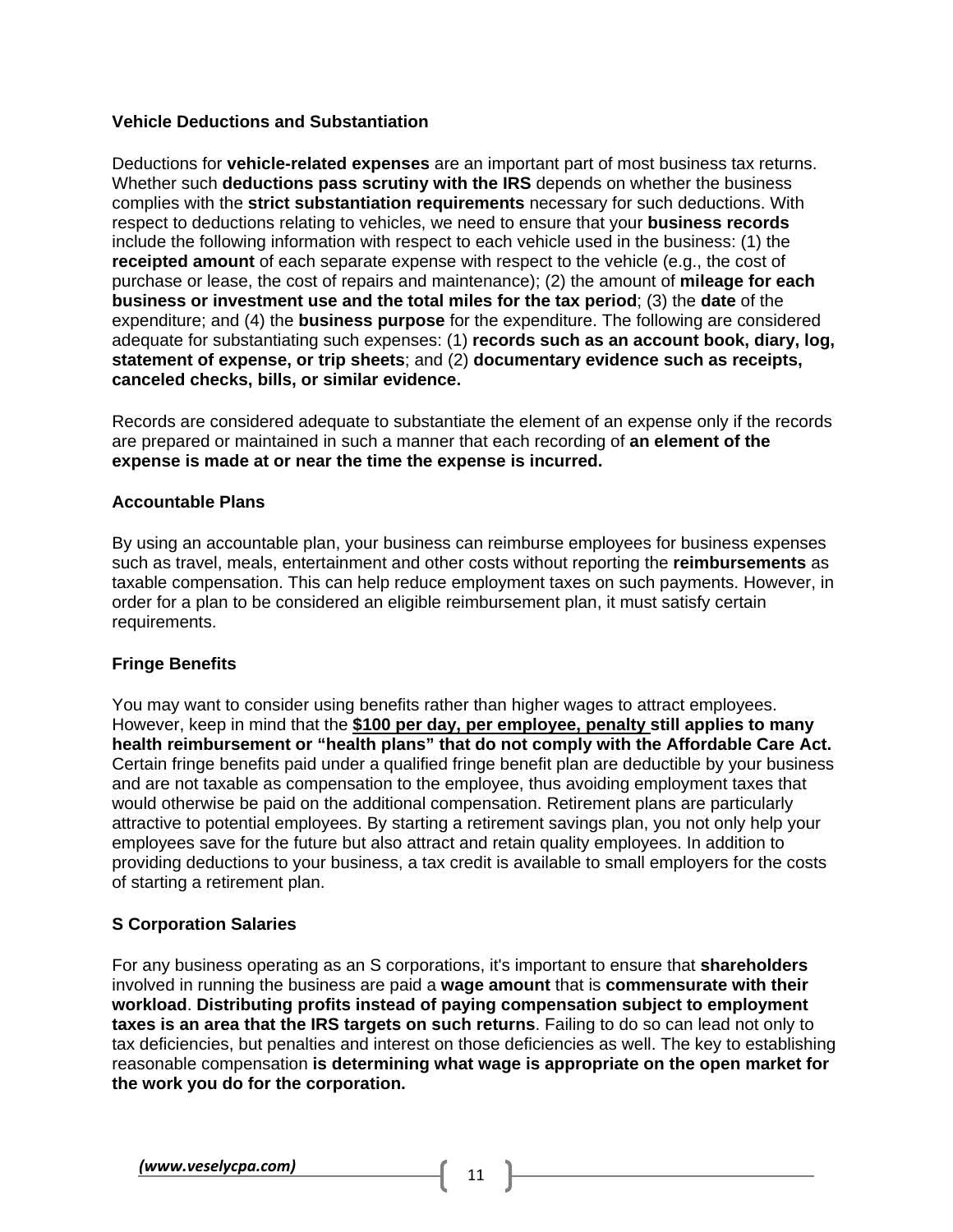# **Vehicle Deductions and Substantiation**

Deductions for **vehicle-related expenses** are an important part of most business tax returns. Whether such **deductions pass scrutiny with the IRS** depends on whether the business complies with the **strict substantiation requirements** necessary for such deductions. With respect to deductions relating to vehicles, we need to ensure that your **business records** include the following information with respect to each vehicle used in the business: (1) the **receipted amount** of each separate expense with respect to the vehicle (e.g., the cost of purchase or lease, the cost of repairs and maintenance); (2) the amount of **mileage for each business or investment use and the total miles for the tax period**; (3) the **date** of the expenditure; and (4) the **business purpose** for the expenditure. The following are considered adequate for substantiating such expenses: (1) **records such as an account book, diary, log, statement of expense, or trip sheets**; and (2) **documentary evidence such as receipts, canceled checks, bills, or similar evidence.** 

Records are considered adequate to substantiate the element of an expense only if the records are prepared or maintained in such a manner that each recording of **an element of the expense is made at or near the time the expense is incurred.** 

#### **Accountable Plans**

By using an accountable plan, your business can reimburse employees for business expenses such as travel, meals, entertainment and other costs without reporting the **reimbursements** as taxable compensation. This can help reduce employment taxes on such payments. However, in order for a plan to be considered an eligible reimbursement plan, it must satisfy certain requirements.

#### **Fringe Benefits**

You may want to consider using benefits rather than higher wages to attract employees. However, keep in mind that the **\$100 per day, per employee, penalty still applies to many health reimbursement or "health plans" that do not comply with the Affordable Care Act.**  Certain fringe benefits paid under a qualified fringe benefit plan are deductible by your business and are not taxable as compensation to the employee, thus avoiding employment taxes that would otherwise be paid on the additional compensation. Retirement plans are particularly attractive to potential employees. By starting a retirement savings plan, you not only help your employees save for the future but also attract and retain quality employees. In addition to providing deductions to your business, a tax credit is available to small employers for the costs of starting a retirement plan.

# **S Corporation Salaries**

For any business operating as an S corporations, it's important to ensure that **shareholders**  involved in running the business are paid a **wage amount** that is **commensurate with their workload**. **Distributing profits instead of paying compensation subject to employment taxes is an area that the IRS targets on such returns**. Failing to do so can lead not only to tax deficiencies, but penalties and interest on those deficiencies as well. The key to establishing reasonable compensation **is determining what wage is appropriate on the open market for the work you do for the corporation.**